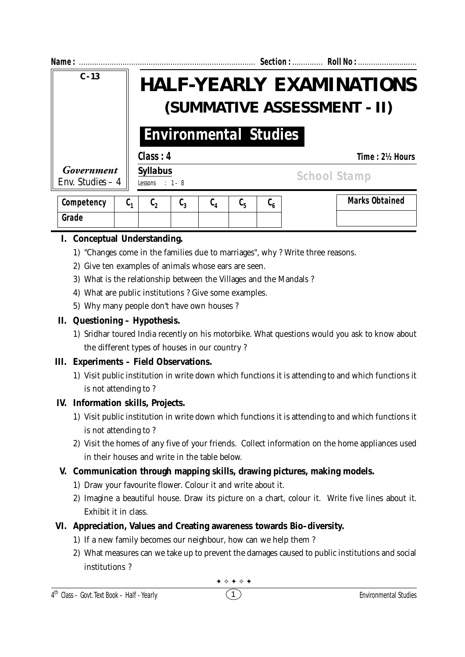| Name:                           |                                                                                                | Section:  Roll No :                            |
|---------------------------------|------------------------------------------------------------------------------------------------|------------------------------------------------|
| $C - 13$                        | <b>HALF-YEARLY EXAMINATIONS</b><br>(SUMMATIVE ASSESSMENT - II)<br><b>Environmental Studies</b> |                                                |
|                                 |                                                                                                |                                                |
|                                 | Class: 4                                                                                       | Time: 2½ Hours                                 |
| Government<br>Env. Studies $-4$ | <b>Syllabus</b><br>Lessons : $1 - 8$                                                           | <b>School Stamp</b>                            |
| Competency                      | $\mathfrak{c}_3$<br>C,<br>$\mathfrak{c}_4$<br>$\mathfrak{c}_{\mathfrak{s}}$<br>ს,              | <b>Marks Obtained</b><br>$\mathfrak{c}_{_{6}}$ |

# **I. Conceptual Understanding.**

**Grade**

- 1) "Changes come in the families due to marriages", why ? Write three reasons.
- 2) Give ten examples of animals whose ears are seen.
- 3) What is the relationship between the Villages and the Mandals ?
- 4) What are public institutions ? Give some examples.
- 5) Why many people don't have own houses ?

## **II. Questioning – Hypothesis.**

1) Sridhar toured India recently on his motorbike. What questions would you ask to know about the different types of houses in our country ?

## **III. Experiments – Field Observations.**

1) Visit public institution in write down which functions it is attending to and which functions it is not attending to ?

### **IV. Information skills, Projects.**

- 1) Visit public institution in write down which functions it is attending to and which functions it is not attending to ?
- 2) Visit the homes of any five of your friends. Collect information on the home appliances used in their houses and write in the table below.

## **V. Communication through mapping skills, drawing pictures, making models.**

- 1) Draw your favourite flower. Colour it and write about it.
- 2) Imagine a beautiful house. Draw its picture on a chart, colour it. Write five lines about it. Exhibit it in class.

## **VI. Appreciation, Values and Creating awareness towards Bio–diversity.**

- 1) If a new family becomes our neighbour, how can we help them ?
- 2) What measures can we take up to prevent the damages caused to public institutions and social institutions ?